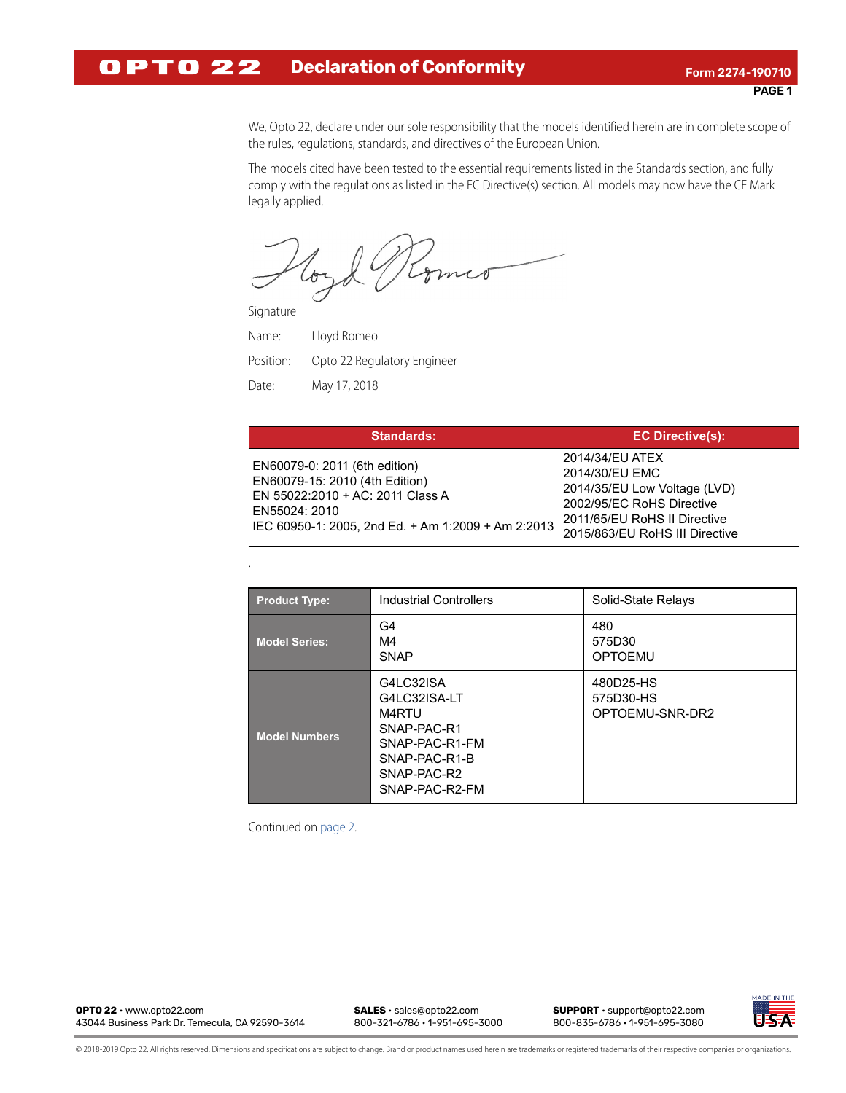## **OPTO 22 Declaration of Conformity** Form 2274-190710

We, Opto 22, declare under our sole responsibility that the models identified herein are in complete scope of the rules, regulations, standards, and directives of the European Union.

The models cited have been tested to the essential requirements listed in the Standards section, and fully comply with the regulations as listed in the EC Directive(s) section. All models may now have the CE Mark legally applied.

Komer loyo

Signature

.

Name: Lloyd Romeo Position: Opto 22 Regulatory Engineer Date: May 17, 2018

| <b>Standards:</b>                                                                                                                                                          | <b>EC Directive(s):</b>                                                                                                                                          |
|----------------------------------------------------------------------------------------------------------------------------------------------------------------------------|------------------------------------------------------------------------------------------------------------------------------------------------------------------|
| EN60079-0: 2011 (6th edition)<br>EN60079-15: 2010 (4th Edition)<br>EN 55022:2010 + AC: 2011 Class A<br>EN55024: 2010<br>IEC 60950-1: 2005, 2nd Ed. + Am 1:2009 + Am 2:2013 | 2014/34/EU ATEX<br>2014/30/EU EMC<br>2014/35/EU Low Voltage (LVD)<br>2002/95/EC RoHS Directive<br>2011/65/EU RoHS II Directive<br>2015/863/EU RoHS III Directive |

| <b>Product Type:</b> | <b>Industrial Controllers</b>                                                                                         | Solid-State Relays                        |
|----------------------|-----------------------------------------------------------------------------------------------------------------------|-------------------------------------------|
| <b>Model Series:</b> | G4<br>M4<br><b>SNAP</b>                                                                                               | 480<br>575D30<br><b>OPTOEMU</b>           |
| <b>Model Numbers</b> | G4LC32ISA<br>G4LC32ISA-LT<br>M4RTU<br>SNAP-PAC-R1<br>SNAP-PAC-R1-FM<br>SNAP-PAC-R1-B<br>SNAP-PAC-R2<br>SNAP-PAC-R2-FM | 480D25-HS<br>575D30-HS<br>OPTOEMU-SNR-DR2 |

Continued on [page 2.](#page-1-0)

**OPTO 22** • www.opto22.com **SALES** • sales@opto22.com **SUPPORT** • support@opto22.com 43044 Business Park Dr. Temecula, CA 92590-3614